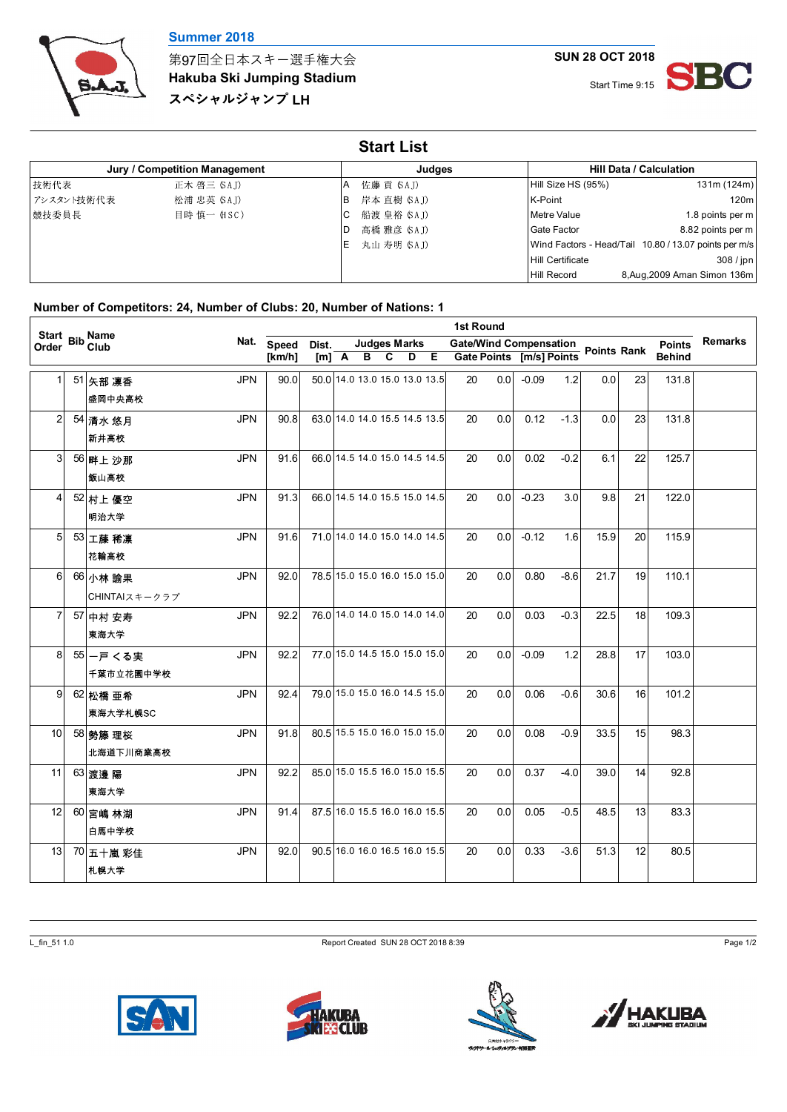

第97回全日本スキー選手権大会

**Hakuba Ski Jumping Stadium** スペシャルジャンプ LH

**SUN 28 OCT 2018**



| <b>Start List</b> |                               |     |              |                         |                                                       |  |  |  |  |  |  |  |  |
|-------------------|-------------------------------|-----|--------------|-------------------------|-------------------------------------------------------|--|--|--|--|--|--|--|--|
|                   | Jury / Competition Management |     | Judges       |                         | <b>Hill Data / Calculation</b>                        |  |  |  |  |  |  |  |  |
| 技術代表              | 正木 啓三 (SAJ)                   | A   | 佐藤 貢 (SA.J)  | Hill Size HS (95%)      | 131m (124m)                                           |  |  |  |  |  |  |  |  |
| アシスタント技術代表        | 松浦 忠英 (SAJ)                   | IB  | 岸本 直樹 (SAJ)  | K-Point                 | 120ml                                                 |  |  |  |  |  |  |  |  |
| 競技委員長             | 目時 慎一 (HSC)                   | IC. | 船渡 皇裕 (SAJ)  | Metre Value             | 1.8 points per m                                      |  |  |  |  |  |  |  |  |
|                   |                               | D   | 高橋 雅彦 (SA.J) | <b>Gate Factor</b>      | 8.82 points per m                                     |  |  |  |  |  |  |  |  |
|                   |                               | E   | 丸山 寿明 (SA.J) |                         | Wind Factors - Head/Tail 10.80 / 13.07 points per m/s |  |  |  |  |  |  |  |  |
|                   |                               |     |              | <b>Hill Certificate</b> | 308/ipn                                               |  |  |  |  |  |  |  |  |
|                   |                               |     |              | <b>Hill Record</b>      | 8, Aug, 2009 Aman Simon 136m                          |  |  |  |  |  |  |  |  |

## **Number of Competitors: 24, Number of Clubs: 20, Number of Nations: 1**

|                 | 1st Round |                                  |      |              |                                                                                            |  |  |  |  |  |                          |                    |               |                |      |    |               |  |
|-----------------|-----------|----------------------------------|------|--------------|--------------------------------------------------------------------------------------------|--|--|--|--|--|--------------------------|--------------------|---------------|----------------|------|----|---------------|--|
| Order           |           | Start Bib Name<br>Order Bib Club | Nat. | <b>Speed</b> | <b>Judges Marks</b><br><b>Gate/Wind Compensation</b><br>Dist.<br>$[m]$ $A$ $B$ $C$ $D$ $E$ |  |  |  |  |  |                          | <b>Points Rank</b> | <b>Points</b> | <b>Remarks</b> |      |    |               |  |
|                 |           |                                  |      | [km/h]       |                                                                                            |  |  |  |  |  | Gate Points [m/s] Points |                    |               |                |      |    | <b>Behind</b> |  |
| 11              |           | <b>JPN</b><br>51 矢部 凛香           |      | 90.0         | 50.0 14.0 13.0 15.0 13.0 13.5                                                              |  |  |  |  |  | 20                       | 0.0                | $-0.09$       | 1.2            | 0.0  | 23 | 131.8         |  |
|                 |           | 盛岡中央高校                           |      |              |                                                                                            |  |  |  |  |  |                          |                    |               |                |      |    |               |  |
| $\overline{2}$  |           | <b>JPN</b><br>54 清水 悠月           |      | 90.8         | 63.0 14.0 14.0 15.5 14.5 13.5                                                              |  |  |  |  |  | 20                       | 0.0                | 0.12          | $-1.3$         | 0.0  | 23 | 131.8         |  |
|                 |           | 新井高校                             |      |              |                                                                                            |  |  |  |  |  |                          |                    |               |                |      |    |               |  |
| 3 <sup>1</sup>  |           | <b>JPN</b><br>56 畔上沙那            |      | 91.6         | 66 0 14.5 14.0 15.0 14.5 14.5                                                              |  |  |  |  |  | 20                       | 0.0                | 0.02          | $-0.2$         | 6.1  | 22 | 125.7         |  |
|                 |           | 飯山高校                             |      |              |                                                                                            |  |  |  |  |  |                          |                    |               |                |      |    |               |  |
| $\overline{4}$  |           | <b>JPN</b><br>52 村上 優空           |      | 91.3         | 66.0 14.5 14.0 15.5 15.0 14.5                                                              |  |  |  |  |  | 20                       | 0.0                | $-0.23$       | 3.0            | 9.8  | 21 | 122.0         |  |
|                 |           | 明治大学                             |      |              |                                                                                            |  |  |  |  |  |                          |                    |               |                |      |    |               |  |
| $5 \,$          |           | <b>JPN</b><br>53 工藤 稀凛           |      | 91.6         | 71.0 14.0 14.0 15.0 14.0 14.5                                                              |  |  |  |  |  | 20                       | 0.0                | $-0.12$       | 1.6            | 15.9 | 20 | 115.9         |  |
|                 |           | 花輪高校                             |      |              |                                                                                            |  |  |  |  |  |                          |                    |               |                |      |    |               |  |
| 6               |           | <b>JPN</b><br>66 小林 諭果           |      | 92.0         | 78.5 15.0 15.0 16.0 15.0 15.0                                                              |  |  |  |  |  | 20                       | 0.0                | 0.80          | $-8.6$         | 21.7 | 19 | 110.1         |  |
|                 |           | $CHINTAIZ + - 257$               |      |              |                                                                                            |  |  |  |  |  |                          |                    |               |                |      |    |               |  |
| 7               |           | <b>JPN</b><br>57 中村 安寿           |      | 92.2         | 76.0 14.0 14.0 15.0 14.0 14.0                                                              |  |  |  |  |  | 20                       | 0.0                | 0.03          | $-0.3$         | 22.5 | 18 | 109.3         |  |
|                 |           | 東海大学                             |      |              |                                                                                            |  |  |  |  |  |                          |                    |               |                |      |    |               |  |
| 8               |           | <b>JPN</b><br>55 一戸 くる実          |      | 92.2         | 77.0 15.0 14.5 15.0 15.0 15.0                                                              |  |  |  |  |  | 20                       | 0.0                | $-0.09$       | 1.2            | 28.8 | 17 | 103.0         |  |
|                 |           | 千葉市立花園中学校                        |      |              |                                                                                            |  |  |  |  |  |                          |                    |               |                |      |    |               |  |
| 9               |           | <b>JPN</b><br>62 松橋 亜希           |      | 92.4         | 79.0 15.0 15.0 16.0 14.5 15.0                                                              |  |  |  |  |  | 20                       | 0.0                | 0.06          | $-0.6$         | 30.6 | 16 | 101.2         |  |
|                 |           | 東海大学札幌SC                         |      |              |                                                                                            |  |  |  |  |  |                          |                    |               |                |      |    |               |  |
| 10 <sup>°</sup> |           | <b>JPN</b><br>58 勢籐 理桜           |      | 91.8         | 80.5 15.5 15.0 16.0 15.0 15.0                                                              |  |  |  |  |  | 20                       | 0.0                | 0.08          | $-0.9$         | 33.5 | 15 | 98.3          |  |
|                 |           | 北海道下川商業高校                        |      |              |                                                                                            |  |  |  |  |  |                          |                    |               |                |      |    |               |  |
| 11              |           | <b>JPN</b><br>63 渡邊 陽            |      | 92.2         | 85.0 15.0 15.5 16.0 15.0 15.5                                                              |  |  |  |  |  | 20                       | 0.0                | 0.37          | $-4.0$         | 39.0 | 14 | 92.8          |  |
|                 |           | 東海大学                             |      |              |                                                                                            |  |  |  |  |  |                          |                    |               |                |      |    |               |  |
| 12              |           | <b>JPN</b><br>60 宮嶋 林湖           |      | 91.4         | 87.5 16.0 15.5 16.0 16.0 15.5                                                              |  |  |  |  |  | 20                       | 0.0                | 0.05          | $-0.5$         | 48.5 | 13 | 83.3          |  |
|                 |           | 白馬中学校                            |      |              |                                                                                            |  |  |  |  |  |                          |                    |               |                |      |    |               |  |
| 13 <sup>1</sup> |           | <b>JPN</b><br>70 五十嵐 彩佳          |      | 92.0         | 90.5 16.0 16.0 16.5 16.0 15.5                                                              |  |  |  |  |  | 20                       | 0.0                | 0.33          | $-3.6$         | 51.3 | 12 | 80.5          |  |
|                 |           | 札幌大学                             |      |              |                                                                                            |  |  |  |  |  |                          |                    |               |                |      |    |               |  |

L\_fin\_51 1.0 Report Created SUN 28 OCT 2018 8:39 Page 1/2